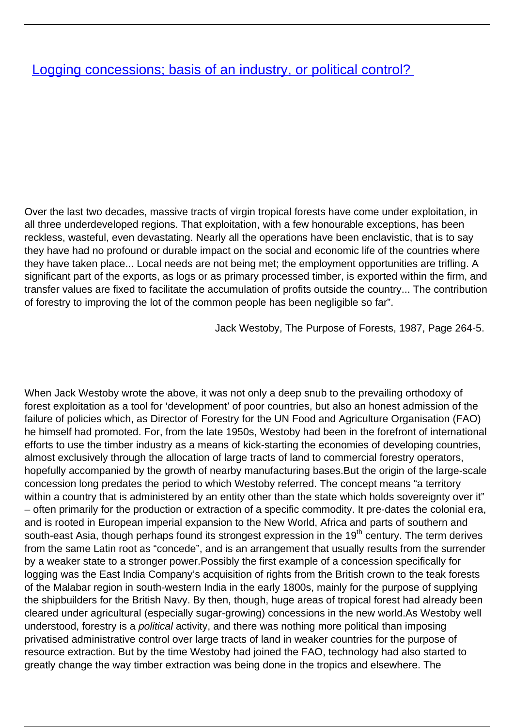## [Logging concessions; basis of an industry, or political control?](/bulletin-articles/logging-concessions-basis-of-an-industry-or-political-control)

Over the last two decades, massive tracts of virgin tropical forests have come under exploitation, in all three underdeveloped regions. That exploitation, with a few honourable exceptions, has been reckless, wasteful, even devastating. Nearly all the operations have been enclavistic, that is to say they have had no profound or durable impact on the social and economic life of the countries where they have taken place... Local needs are not being met; the employment opportunities are trifling. A significant part of the exports, as logs or as primary processed timber, is exported within the firm, and transfer values are fixed to facilitate the accumulation of profits outside the country... The contribution of forestry to improving the lot of the common people has been negligible so far".

Jack Westoby, The Purpose of Forests, 1987, Page 264-5.

When Jack Westoby wrote the above, it was not only a deep snub to the prevailing orthodoxy of forest exploitation as a tool for 'development' of poor countries, but also an honest admission of the failure of policies which, as Director of Forestry for the UN Food and Agriculture Organisation (FAO) he himself had promoted. For, from the late 1950s, Westoby had been in the forefront of international efforts to use the timber industry as a means of kick-starting the economies of developing countries, almost exclusively through the allocation of large tracts of land to commercial forestry operators, hopefully accompanied by the growth of nearby manufacturing bases.But the origin of the large-scale concession long predates the period to which Westoby referred. The concept means "a territory within a country that is administered by an entity other than the state which holds sovereignty over it" – often primarily for the production or extraction of a specific commodity. It pre-dates the colonial era, and is rooted in European imperial expansion to the New World, Africa and parts of southern and south-east Asia, though perhaps found its strongest expression in the 19<sup>th</sup> century. The term derives from the same Latin root as "concede", and is an arrangement that usually results from the surrender by a weaker state to a stronger power.Possibly the first example of a concession specifically for logging was the East India Company's acquisition of rights from the British crown to the teak forests of the Malabar region in south-western India in the early 1800s, mainly for the purpose of supplying the shipbuilders for the British Navy. By then, though, huge areas of tropical forest had already been cleared under agricultural (especially sugar-growing) concessions in the new world.As Westoby well understood, forestry is a political activity, and there was nothing more political than imposing privatised administrative control over large tracts of land in weaker countries for the purpose of resource extraction. But by the time Westoby had joined the FAO, technology had also started to greatly change the way timber extraction was being done in the tropics and elsewhere. The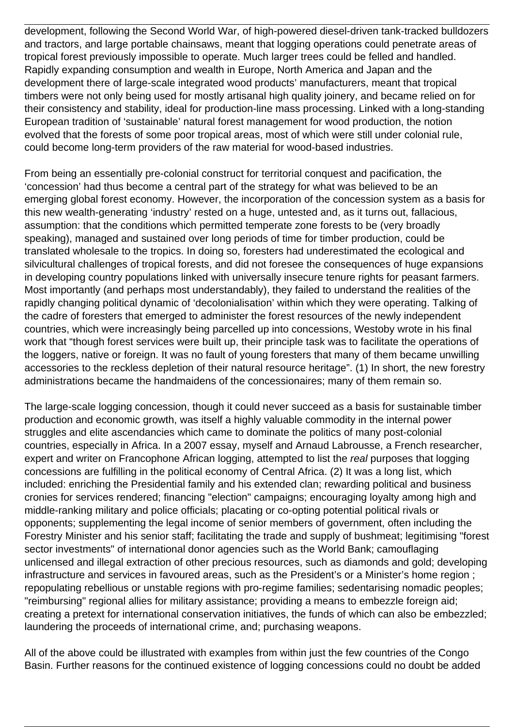development, following the Second World War, of high-powered diesel-driven tank-tracked bulldozers and tractors, and large portable chainsaws, meant that logging operations could penetrate areas of tropical forest previously impossible to operate. Much larger trees could be felled and handled. Rapidly expanding consumption and wealth in Europe, North America and Japan and the development there of large-scale integrated wood products' manufacturers, meant that tropical timbers were not only being used for mostly artisanal high quality joinery, and became relied on for their consistency and stability, ideal for production-line mass processing. Linked with a long-standing European tradition of 'sustainable' natural forest management for wood production, the notion evolved that the forests of some poor tropical areas, most of which were still under colonial rule, could become long-term providers of the raw material for wood-based industries.

From being an essentially pre-colonial construct for territorial conquest and pacification, the 'concession' had thus become a central part of the strategy for what was believed to be an emerging global forest economy. However, the incorporation of the concession system as a basis for this new wealth-generating 'industry' rested on a huge, untested and, as it turns out, fallacious, assumption: that the conditions which permitted temperate zone forests to be (very broadly speaking), managed and sustained over long periods of time for timber production, could be translated wholesale to the tropics. In doing so, foresters had underestimated the ecological and silvicultural challenges of tropical forests, and did not foresee the consequences of huge expansions in developing country populations linked with universally insecure tenure rights for peasant farmers. Most importantly (and perhaps most understandably), they failed to understand the realities of the rapidly changing political dynamic of 'decolonialisation' within which they were operating. Talking of the cadre of foresters that emerged to administer the forest resources of the newly independent countries, which were increasingly being parcelled up into concessions, Westoby wrote in his final work that "though forest services were built up, their principle task was to facilitate the operations of the loggers, native or foreign. It was no fault of young foresters that many of them became unwilling accessories to the reckless depletion of their natural resource heritage". (1) In short, the new forestry administrations became the handmaidens of the concessionaires; many of them remain so.

The large-scale logging concession, though it could never succeed as a basis for sustainable timber production and economic growth, was itself a highly valuable commodity in the internal power struggles and elite ascendancies which came to dominate the politics of many post-colonial countries, especially in Africa. In a 2007 essay, myself and Arnaud Labrousse, a French researcher, expert and writer on Francophone African logging, attempted to list the real purposes that logging concessions are fulfilling in the political economy of Central Africa. (2) It was a long list, which included: enriching the Presidential family and his extended clan; rewarding political and business cronies for services rendered; financing "election" campaigns; encouraging loyalty among high and middle-ranking military and police officials; placating or co-opting potential political rivals or opponents; supplementing the legal income of senior members of government, often including the Forestry Minister and his senior staff; facilitating the trade and supply of bushmeat; legitimising "forest sector investments" of international donor agencies such as the World Bank; camouflaging unlicensed and illegal extraction of other precious resources, such as diamonds and gold; developing infrastructure and services in favoured areas, such as the President's or a Minister's home region ; repopulating rebellious or unstable regions with pro-regime families; sedentarising nomadic peoples; "reimbursing" regional allies for military assistance; providing a means to embezzle foreign aid; creating a pretext for international conservation initiatives, the funds of which can also be embezzled; laundering the proceeds of international crime, and; purchasing weapons.

All of the above could be illustrated with examples from within just the few countries of the Congo Basin. Further reasons for the continued existence of logging concessions could no doubt be added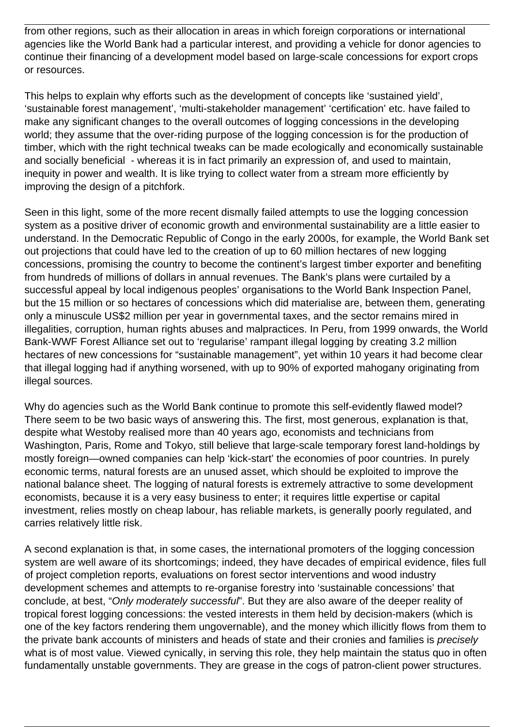from other regions, such as their allocation in areas in which foreign corporations or international agencies like the World Bank had a particular interest, and providing a vehicle for donor agencies to continue their financing of a development model based on large-scale concessions for export crops or resources.

This helps to explain why efforts such as the development of concepts like 'sustained yield', 'sustainable forest management', 'multi-stakeholder management' 'certification' etc. have failed to make any significant changes to the overall outcomes of logging concessions in the developing world; they assume that the over-riding purpose of the logging concession is for the production of timber, which with the right technical tweaks can be made ecologically and economically sustainable and socially beneficial - whereas it is in fact primarily an expression of, and used to maintain, inequity in power and wealth. It is like trying to collect water from a stream more efficiently by improving the design of a pitchfork.

Seen in this light, some of the more recent dismally failed attempts to use the logging concession system as a positive driver of economic growth and environmental sustainability are a little easier to understand. In the Democratic Republic of Congo in the early 2000s, for example, the World Bank set out projections that could have led to the creation of up to 60 million hectares of new logging concessions, promising the country to become the continent's largest timber exporter and benefiting from hundreds of millions of dollars in annual revenues. The Bank's plans were curtailed by a successful appeal by local indigenous peoples' organisations to the World Bank Inspection Panel, but the 15 million or so hectares of concessions which did materialise are, between them, generating only a minuscule US\$2 million per year in governmental taxes, and the sector remains mired in illegalities, corruption, human rights abuses and malpractices. In Peru, from 1999 onwards, the World Bank-WWF Forest Alliance set out to 'regularise' rampant illegal logging by creating 3.2 million hectares of new concessions for "sustainable management", yet within 10 years it had become clear that illegal logging had if anything worsened, with up to 90% of exported mahogany originating from illegal sources.

Why do agencies such as the World Bank continue to promote this self-evidently flawed model? There seem to be two basic ways of answering this. The first, most generous, explanation is that, despite what Westoby realised more than 40 years ago, economists and technicians from Washington, Paris, Rome and Tokyo, still believe that large-scale temporary forest land-holdings by mostly foreign—owned companies can help 'kick-start' the economies of poor countries. In purely economic terms, natural forests are an unused asset, which should be exploited to improve the national balance sheet. The logging of natural forests is extremely attractive to some development economists, because it is a very easy business to enter; it requires little expertise or capital investment, relies mostly on cheap labour, has reliable markets, is generally poorly regulated, and carries relatively little risk.

A second explanation is that, in some cases, the international promoters of the logging concession system are well aware of its shortcomings; indeed, they have decades of empirical evidence, files full of project completion reports, evaluations on forest sector interventions and wood industry development schemes and attempts to re-organise forestry into 'sustainable concessions' that conclude, at best, "Only moderately successful". But they are also aware of the deeper reality of tropical forest logging concessions: the vested interests in them held by decision-makers (which is one of the key factors rendering them ungovernable), and the money which illicitly flows from them to the private bank accounts of ministers and heads of state and their cronies and families is precisely what is of most value. Viewed cynically, in serving this role, they help maintain the status quo in often fundamentally unstable governments. They are grease in the cogs of patron-client power structures.